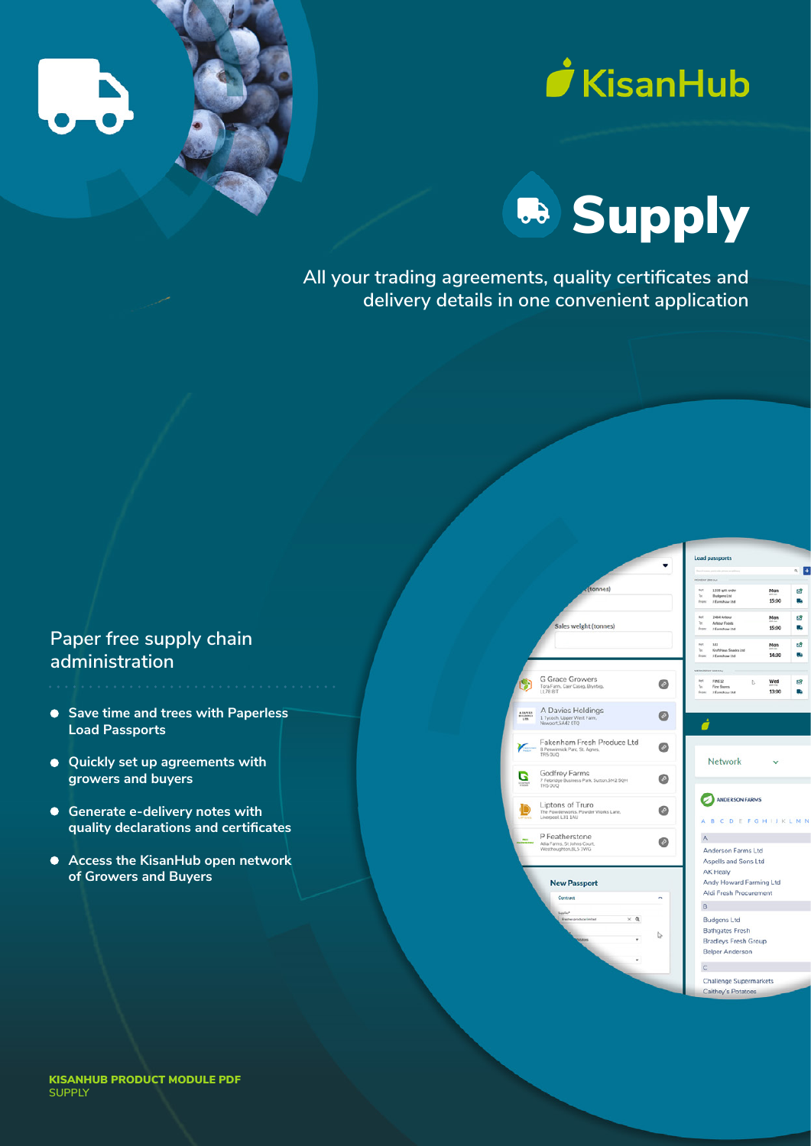





**All your trading agreements, quality certificates and delivery details in one convenient application**

## **Paper free supply chain administration**

- **Save time and trees with Paperless Load Passports**
- **Quickly set up agreements with growers and buyers**
- **Generate e-delivery notes with quality declarations and certificates**
- **Access the KisanHub open network of Growers and Buyers**

|                                                                                                    | <b>Load passports</b>                                                                                                |
|----------------------------------------------------------------------------------------------------|----------------------------------------------------------------------------------------------------------------------|
|                                                                                                    | $\left  + \right $<br>a l                                                                                            |
|                                                                                                    | <b>HONDAY 20th Jun</b>                                                                                               |
| (tonnes)                                                                                           | <b>But</b><br>1338 split order<br>Mon<br>ය<br>t.<br><b>Budgens Ltd</b><br>15:00<br>p.<br>/Earnshaw Ltd<br>From:      |
| Sales weight (tonnes)                                                                              | 2464 Arbour<br>Ref:<br>Mon<br>G.<br>$T_{\rm IR}$<br>Arbour Foods<br>15:00<br>п,<br>J Earnshaw Ltd.<br>From           |
|                                                                                                    | 122<br>ಡೆ<br>Ref:<br>Mon<br>Krafthlaus Snacks Ltd.<br>$T_{\rm esc}$<br>n.<br>14:30<br><b>From:</b><br>J Earnshaw Ltd |
|                                                                                                    | WEDNESDAY 2015 MAL                                                                                                   |
| <b>G Grace Growers</b><br>0<br>Tora Farm, Caer Caseg, Brynteg,<br>LL78 8/T                         | ket.<br>FINE12<br>Wed<br>Р<br>ಡೆ<br>Fine Stores<br>Yn.<br>13:00<br>From I Eamshaw Ltd.                               |
| A Davies Holdings<br>ABAVIES<br>BILDENIS<br>LOS<br>1 Tycoch, Upper West Farm.<br>Newport, SA42 OTQ |                                                                                                                      |
| Fakenham Fresh Produce Ltd<br>8 Penwinnick Parc, St. Agnes,<br>TR5 OUQ                             | Network                                                                                                              |
| Godfrey Farms<br>0<br>7 Felbridge Business Park. Sutton.SM2 5QH<br>TRS OUQ                         |                                                                                                                      |
| Liptons of Truro<br>a<br>The Powderworks, Powder Works Lane,<br>Liverpool, L31 1AU                 | <b>ANDERSON FARMS</b><br><b>BCDEFGHIJKLMN</b><br>A                                                                   |
|                                                                                                    |                                                                                                                      |
| P Featherstone<br><b>Pass</b><br>Allia Farms, St Johns Court,                                      | A                                                                                                                    |
| Westhoughton.BL5 3WG                                                                               | Anderson Farms Ltd                                                                                                   |
|                                                                                                    | Aspells and Sons Ltd                                                                                                 |
|                                                                                                    | AK Healy                                                                                                             |
| <b>New Passport</b>                                                                                | Andy Howard Farming Ltd                                                                                              |
| Contract<br>۸                                                                                      | Aldi Fresh Procurement                                                                                               |
|                                                                                                    | B                                                                                                                    |
| <b>Ensiter produce limited</b><br>$\times a$                                                       | <b>Budgens Ltd</b>                                                                                                   |
|                                                                                                    | <b>Bathgates Fresh</b>                                                                                               |
| ↳<br>۰<br><b>Paranoes</b>                                                                          | <b>Bradleys Fresh Group</b>                                                                                          |
|                                                                                                    | <b>Belper Anderson</b>                                                                                               |
|                                                                                                    | $\subset$                                                                                                            |
|                                                                                                    | <b>Challenge Supermarkets</b>                                                                                        |
|                                                                                                    | Caitheu's Potatons                                                                                                   |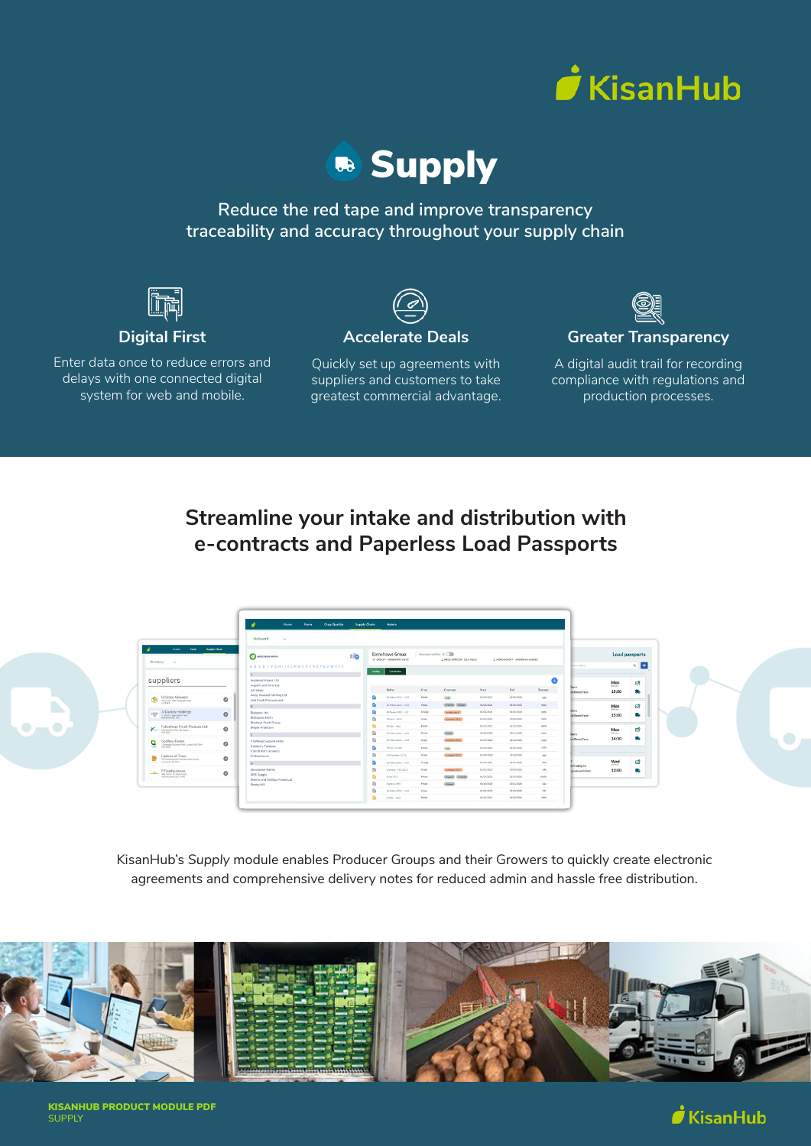



**Reduce the red tape and improve transparency traceability and accuracy throughout your supply chain** 



### **Digital First**

Enter data once to reduce errors and delays with one connected digital system for web and mobile.

### **Accelerate Deals**

Quickly set up agreements with suppliers and customers to take greatest commercial advantage.



#### **Greater Transparency**

A digital audit trail for recording compliance with regulations and production processes.

# **Streamline your intake and distribution with e-contracts and Paperless Load Passports**



KisanHub's *Supply* module enables Producer Groups and their Growers to quickly create electronic agreements and comprehensive delivery notes for reduced admin and hassle free distribution.



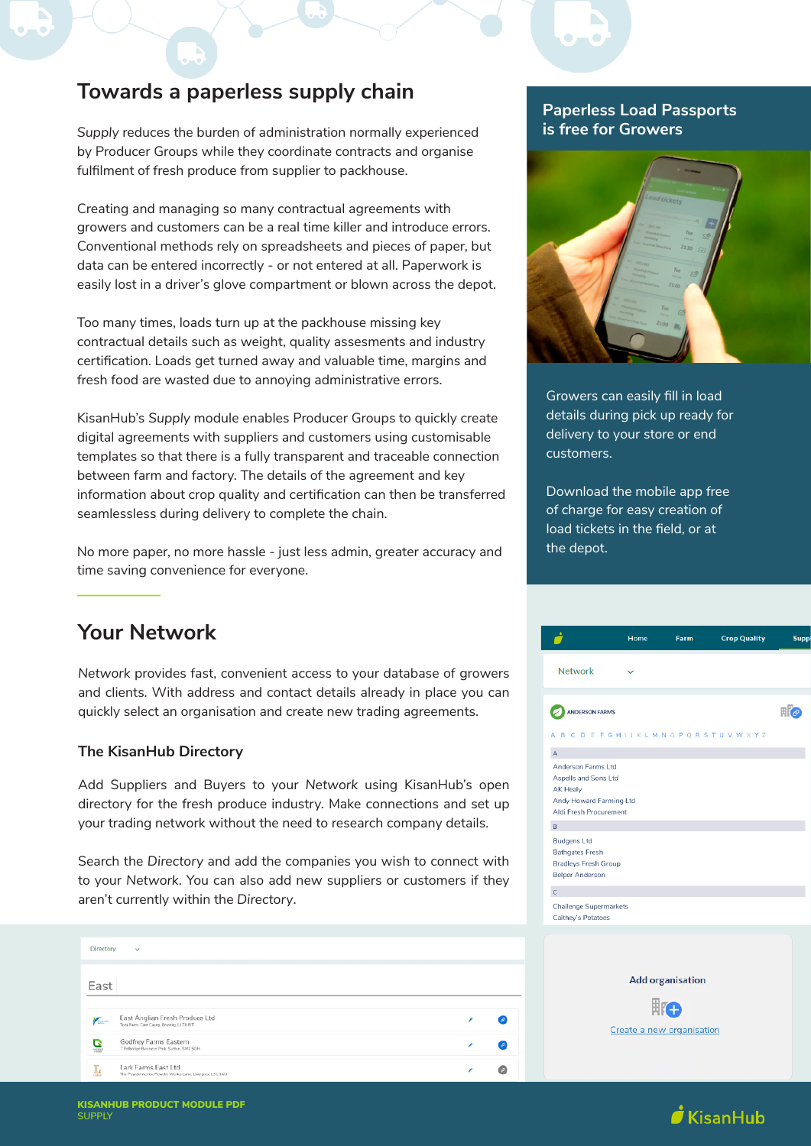## **Towards a paperless supply chain**

*Supply* reduces the burden of administration normally experienced by Producer Groups while they coordinate contracts and organise fulfilment of fresh produce from supplier to packhouse.

Creating and managing so many contractual agreements with growers and customers can be a real time killer and introduce errors. Conventional methods rely on spreadsheets and pieces of paper, but data can be entered incorrectly - or not entered at all. Paperwork is easily lost in a driver's glove compartment or blown across the depot.

Too many times, loads turn up at the packhouse missing key contractual details such as weight, quality assesments and industry certification. Loads get turned away and valuable time, margins and fresh food are wasted due to annoying administrative errors.

KisanHub's *Supply* module enables Producer Groups to quickly create digital agreements with suppliers and customers using customisable templates so that there is a fully transparent and traceable connection between farm and factory. The details of the agreement and key information about crop quality and certification can then be transferred seamlessless during delivery to complete the chain.

No more paper, no more hassle - just less admin, greater accuracy and time saving convenience for everyone.

# **Your Network**

*Network* provides fast, convenient access to your database of growers and clients. With address and contact details already in place you can quickly select an organisation and create new trading agreements.

#### **The KisanHub Directory**

Add Suppliers and Buyers to your *Network* using KisanHub's open directory for the fresh produce industry. Make connections and set up your trading network without the need to research company details.

Search the *Directory* and add the companies you wish to connect with to your *Network*. You can also add new suppliers or customers if they aren't currently within the *Directory*.

| Directory  | $\sim$                                                                        |  |
|------------|-------------------------------------------------------------------------------|--|
| East       |                                                                               |  |
| $\sqrt{2}$ | East Anglian Fresh Produce Ltd<br>Tora Farm, Caer Caseg, Brynteg, LL78 B/T    |  |
| ē          | Godfrey Farms Eastern<br>7 Felbridge Business Park, Sutton, SM2 5QH           |  |
| Ŀ          | Lark Farms East Ltd<br>The Powderworks. Powder Works Lane, Liverpool, L31 1AU |  |

### **Paperless Load Passports is free for Growers**



Growers can easily fill in load details during pick up ready for delivery to your store or end customers.

Download the mobile app free of charge for easy creation of load tickets in the field, or at the depot.

|                                                                                                             | Home | <b>Farm</b>             | <b>Crop Quality</b> | <b>Suppl</b>   |
|-------------------------------------------------------------------------------------------------------------|------|-------------------------|---------------------|----------------|
| <b>Network</b>                                                                                              |      |                         |                     |                |
| <b>ANDERSON FARMS</b><br>A B C D E F G H I J K L M N O P Q R S T U V W X Y Z                                |      |                         |                     | $\mathbb{F}$ e |
| $\mathsf A$                                                                                                 |      |                         |                     |                |
| Anderson Farms Ltd<br>Aspells and Sons Ltd<br>AK Healy<br>Andy Howard Farming Ltd<br>Aldi Fresh Procurement |      |                         |                     |                |
| B                                                                                                           |      |                         |                     |                |
| <b>Budgens Ltd</b><br><b>Bathgates Fresh</b><br><b>Bradleys Fresh Group</b><br><b>Belper Anderson</b>       |      |                         |                     |                |
| $\mathsf C$                                                                                                 |      |                         |                     |                |
| <b>Challenge Supermarkets</b><br>Caithey's Potatoes                                                         |      |                         |                     |                |
|                                                                                                             |      | <b>Add organisation</b> |                     |                |